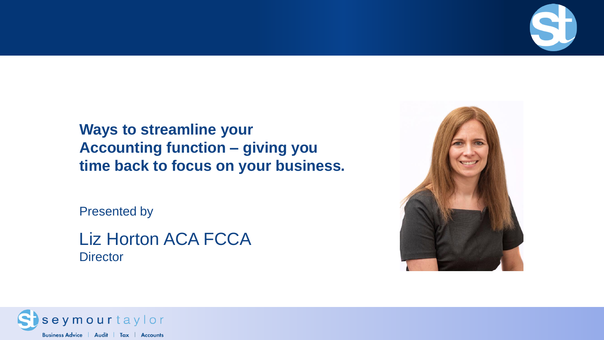

Presented by

#### Liz Horton ACA FCCA **Director**



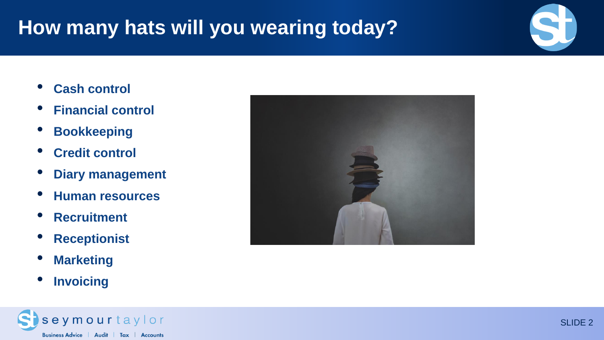# **How many hats will you wearing today?**

- **Cash control**
- **Financial control**
- **Bookkeeping**
- **Credit control**
- **Diary management**
- **Human resources**
- **Recruitment**
- **Receptionist**
- **Marketing**
- **Invoicing**



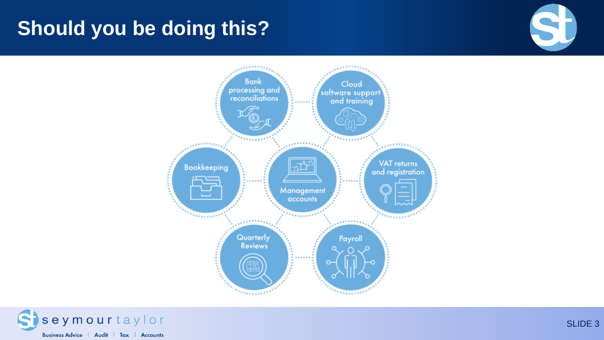# **Should you be doing this?**





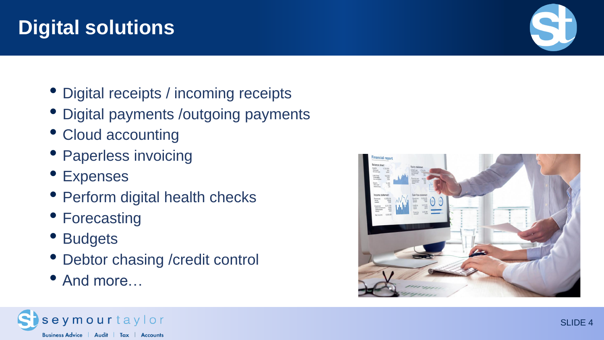# **Digital solutions**

- Digital receipts / incoming receipts
- Digital payments /outgoing payments
- Cloud accounting
- Paperless invoicing
- Expenses
- Perform digital health checks
- Forecasting
- Budgets
- Debtor chasing /credit control
- And more…



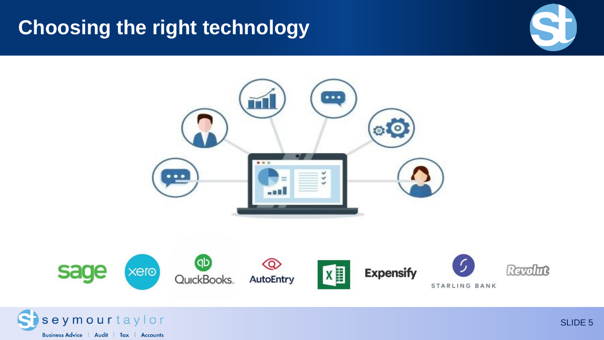## **Choosing the right technology**





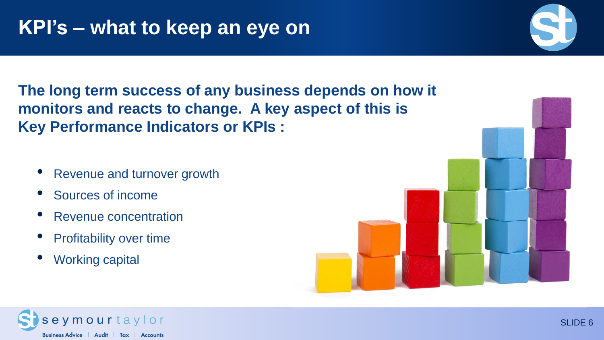**The long term success of any business depends on how it monitors and reacts to change. A key aspect of this is Key Performance Indicators or KPIs :**

- Revenue and turnover growth
- Sources of income
- Revenue concentration
- **Profitability over time**
- Working capital





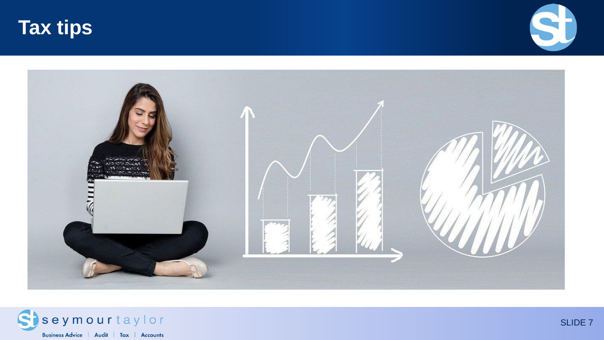





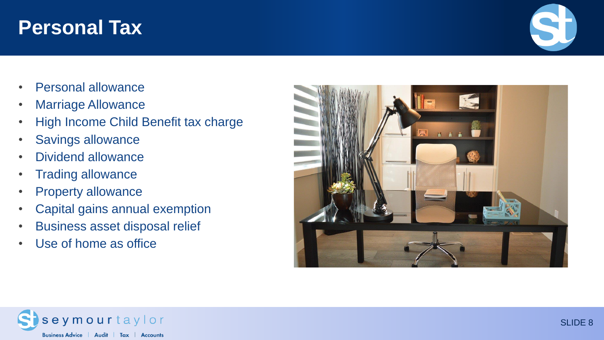#### **Personal Tax**

- Personal allowance
- Marriage Allowance
- High Income Child Benefit tax charge
- Savings allowance
- Dividend allowance
- Trading allowance
- Property allowance
- Capital gains annual exemption
- Business asset disposal relief
- Use of home as office





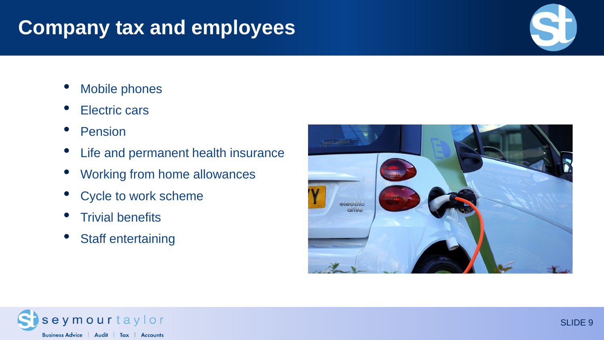# **Company tax and employees**

- Mobile phones
- Electric cars
- **Pension**
- Life and permanent health insurance
- Working from home allowances
- Cycle to work scheme
- **Trivial benefits**
- Staff entertaining



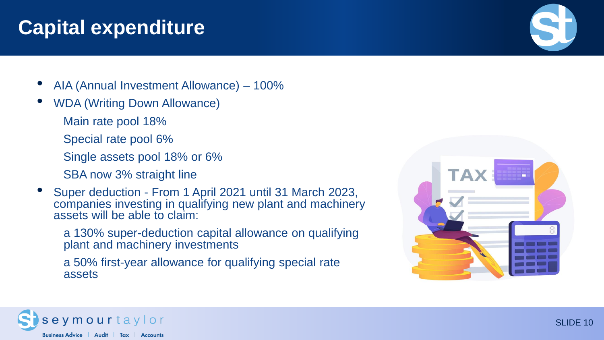### **Capital expenditure**

- AIA (Annual Investment Allowance) 100%
- WDA (Writing Down Allowance)
	- Main rate pool 18%
	- Special rate pool 6%
	- Single assets pool 18% or 6%
	- SBA now 3% straight line
- Super deduction From 1 April 2021 until 31 March 2023, companies investing in qualifying new plant and machinery assets will be able to claim:
	- a 130% super-deduction capital allowance on qualifying plant and machinery investments
	- a 50% first-year allowance for qualifying special rate assets



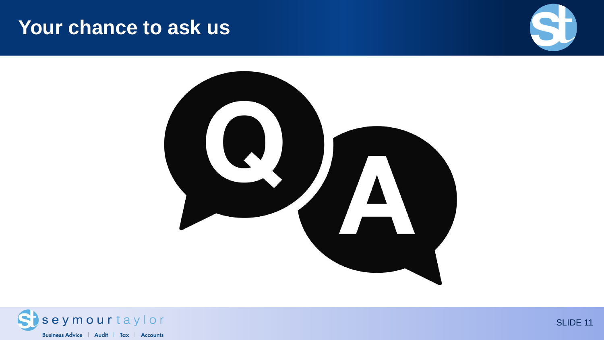#### **Your chance to ask us**